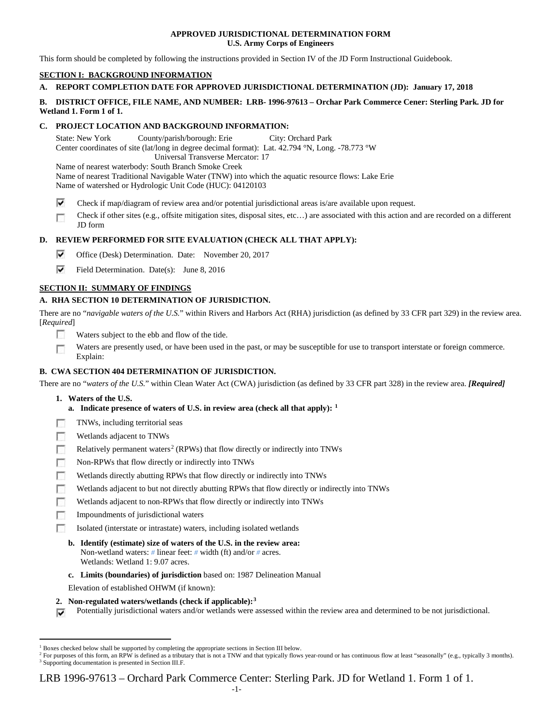## **APPROVED JURISDICTIONAL DETERMINATION FORM U.S. Army Corps of Engineers**

This form should be completed by following the instructions provided in Section IV of the JD Form Instructional Guidebook.

# **SECTION I: BACKGROUND INFORMATION**

# **A. REPORT COMPLETION DATE FOR APPROVED JURISDICTIONAL DETERMINATION (JD): January 17, 2018**

## **B. DISTRICT OFFICE, FILE NAME, AND NUMBER: LRB- 1996-97613 – Orchar Park Commerce Cener: Sterling Park. JD for Wetland 1. Form 1 of 1.**

## **C. PROJECT LOCATION AND BACKGROUND INFORMATION:**

State: New York County/parish/borough: Erie City: Orchard Park Center coordinates of site (lat/long in degree decimal format): Lat. 42.794 °N, Long. -78.773 °W Universal Transverse Mercator: 17 Name of nearest waterbody: South Branch Smoke Creek

Name of nearest Traditional Navigable Water (TNW) into which the aquatic resource flows: Lake Erie Name of watershed or Hydrologic Unit Code (HUC): 04120103

- ⊽ Check if map/diagram of review area and/or potential jurisdictional areas is/are available upon request.
- Check if other sites (e.g., offsite mitigation sites, disposal sites, etc…) are associated with this action and are recorded on a different œ JD form

# **D. REVIEW PERFORMED FOR SITE EVALUATION (CHECK ALL THAT APPLY):**

- ⊽ Office (Desk) Determination. Date: November 20, 2017
- ⊽ Field Determination. Date(s): June 8, 2016

## **SECTION II: SUMMARY OF FINDINGS**

# **A. RHA SECTION 10 DETERMINATION OF JURISDICTION.**

There are no "*navigable waters of the U.S.*" within Rivers and Harbors Act (RHA) jurisdiction (as defined by 33 CFR part 329) in the review area. [*Required*]

- **Table** Waters subject to the ebb and flow of the tide.
- Waters are presently used, or have been used in the past, or may be susceptible for use to transport interstate or foreign commerce. Г Explain:

## **B. CWA SECTION 404 DETERMINATION OF JURISDICTION.**

There are no "*waters of the U.S.*" within Clean Water Act (CWA) jurisdiction (as defined by 33 CFR part 328) in the review area. *[Required]*

- **1. Waters of the U.S.**
	- **a. Indicate presence of waters of U.S. in review area (check all that apply): [1](#page-0-0)**
- п TNWs, including territorial seas
- Wetlands adjacent to TNWs п
- Relatively permanent waters<sup>[2](#page-0-1)</sup> (RPWs) that flow directly or indirectly into TNWs n
- п Non-RPWs that flow directly or indirectly into TNWs
- п Wetlands directly abutting RPWs that flow directly or indirectly into TNWs
- г Wetlands adjacent to but not directly abutting RPWs that flow directly or indirectly into TNWs
- г Wetlands adjacent to non-RPWs that flow directly or indirectly into TNWs
- n Impoundments of jurisdictional waters
- n. Isolated (interstate or intrastate) waters, including isolated wetlands
	- **b. Identify (estimate) size of waters of the U.S. in the review area:** Non-wetland waters: *#* linear feet: *#* width (ft) and/or *#* acres. Wetlands: Wetland 1: 9.07 acres.
	- **c. Limits (boundaries) of jurisdiction** based on: 1987 Delineation Manual
	- Elevation of established OHWM (if known):
- **2. Non-regulated waters/wetlands (check if applicable):[3](#page-0-2)**
- Potentially jurisdictional waters and/or wetlands were assessed within the review area and determined to be not jurisdictional. ⊽

LRB 1996-97613 – Orchard Park Commerce Center: Sterling Park. JD for Wetland 1. Form 1 of 1.

<span id="page-0-0"></span><sup>&</sup>lt;sup>1</sup> Boxes checked below shall be supported by completing the appropriate sections in Section III below.

<span id="page-0-2"></span><span id="page-0-1"></span><sup>&</sup>lt;sup>2</sup> For purposes of this form, an RPW is defined as a tributary that is not a TNW and that typically flows year-round or has continuous flow at least "seasonally" (e.g., typically 3 months). <sup>3</sup> Supporting documentation is presented in Section III.F.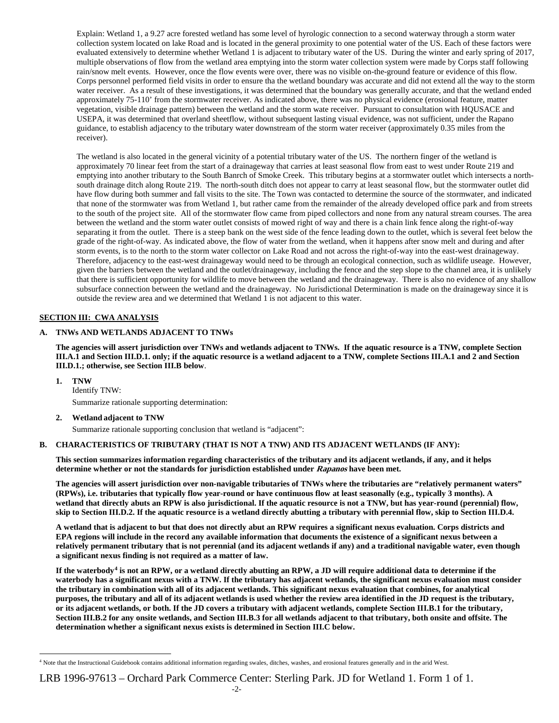Explain: Wetland 1, a 9.27 acre forested wetland has some level of hyrologic connection to a second waterway through a storm water collection system located on lake Road and is located in the general proximity to one potential water of the US. Each of these factors were evaluated extensively to determine whether Wetland 1 is adjacent to tributary water of the US. During the winter and early spring of 2017, multiple observations of flow from the wetland area emptying into the storm water collection system were made by Corps staff following rain/snow melt events. However, once the flow events were over, there was no visible on-the-ground feature or evidence of this flow. Corps personnel performed field visits in order to ensure tha the wetland boundary was accurate and did not extend all the way to the storm water receiver. As a result of these investigations, it was determined that the boundary was generally accurate, and that the wetland ended approximately 75-110' from the stormwater receiver. As indicated above, there was no physical evidence (erosional feature, matter vegetation, visible drainage pattern) between the wetland and the storm wate receiver. Pursuant to consultation with HQUSACE and USEPA, it was determined that overland sheetflow, without subsequent lasting visual evidence, was not sufficient, under the Rapano guidance, to establish adjacency to the tributary water downstream of the storm water receiver (approximately 0.35 miles from the receiver).

The wetland is also located in the general vicinity of a potential tributary water of the US. The northern finger of the wetland is approximately 70 linear feet from the start of a drainageway that carries at least seasonal flow from east to west under Route 219 and emptying into another tributary to the South Banrch of Smoke Creek. This tributary begins at a stormwater outlet which intersects a northsouth drainage ditch along Route 219. The north-south ditch does not appear to carry at least seasonal flow, but the stormwater outlet did have flow during both summer and fall visits to the site. The Town was contacted to determine the source of the stormwater, and indicated that none of the stormwater was from Wetland 1, but rather came from the remainder of the already developed office park and from streets to the south of the project site. All of the stormwater flow came from piped collectors and none from any natural stream courses. The area between the wetland and the storm water outlet consists of mowed right of way and there is a chain link fence along the right-of-way separating it from the outlet. There is a steep bank on the west side of the fence leading down to the outlet, which is several feet below the grade of the right-of-way. As indicated above, the flow of water from the wetland, when it happens after snow melt and during and after storm events, is to the north to the storm water collector on Lake Road and not across the right-of-way into the east-west drainageway. Therefore, adjacency to the east-west drainageway would need to be through an ecological connection, such as wildlife useage. However, given the barriers between the wetland and the outlet/drainageway, including the fence and the step slope to the channel area, it is unlikely that there is sufficient opportunity for wildlife to move between the wetland and the drainageway. There is also no evidence of any shallow subsurface connection between the wetland and the drainageway. No Jurisdictional Determination is made on the drainageway since it is outside the review area and we determined that Wetland 1 is not adjacent to this water.

## **SECTION III: CWA ANALYSIS**

# **A. TNWs AND WETLANDS ADJACENT TO TNWs**

**The agencies will assert jurisdiction over TNWs and wetlands adjacent to TNWs. If the aquatic resource is a TNW, complete Section III.A.1 and Section III.D.1. only; if the aquatic resource is a wetland adjacent to a TNW, complete Sections III.A.1 and 2 and Section III.D.1.; otherwise, see Section III.B below**.

**1. TNW** 

Identify TNW:

Summarize rationale supporting determination:

## **2. Wetland adjacent to TNW**

Summarize rationale supporting conclusion that wetland is "adjacent":

## **B. CHARACTERISTICS OF TRIBUTARY (THAT IS NOT A TNW) AND ITS ADJACENT WETLANDS (IF ANY):**

**This section summarizes information regarding characteristics of the tributary and its adjacent wetlands, if any, and it helps determine whether or not the standards for jurisdiction established under Rapanos have been met.** 

**The agencies will assert jurisdiction over non-navigable tributaries of TNWs where the tributaries are "relatively permanent waters" (RPWs), i.e. tributaries that typically flow year-round or have continuous flow at least seasonally (e.g., typically 3 months). A wetland that directly abuts an RPW is also jurisdictional. If the aquatic resource is not a TNW, but has year-round (perennial) flow, skip to Section III.D.2. If the aquatic resource is a wetland directly abutting a tributary with perennial flow, skip to Section III.D.4.**

**A wetland that is adjacent to but that does not directly abut an RPW requires a significant nexus evaluation. Corps districts and EPA regions will include in the record any available information that documents the existence of a significant nexus between a relatively permanent tributary that is not perennial (and its adjacent wetlands if any) and a traditional navigable water, even though a significant nexus finding is not required as a matter of law.**

**If the waterbody[4](#page-1-0) is not an RPW, or a wetland directly abutting an RPW, a JD will require additional data to determine if the waterbody has a significant nexus with a TNW. If the tributary has adjacent wetlands, the significant nexus evaluation must consider the tributary in combination with all of its adjacent wetlands. This significant nexus evaluation that combines, for analytical purposes, the tributary and all of its adjacent wetlands is used whether the review area identified in the JD request is the tributary, or its adjacent wetlands, or both. If the JD covers a tributary with adjacent wetlands, complete Section III.B.1 for the tributary, Section III.B.2 for any onsite wetlands, and Section III.B.3 for all wetlands adjacent to that tributary, both onsite and offsite. The determination whether a significant nexus exists is determined in Section III.C below.**

# LRB 1996-97613 – Orchard Park Commerce Center: Sterling Park. JD for Wetland 1. Form 1 of 1.

<span id="page-1-0"></span> <sup>4</sup> Note that the Instructional Guidebook contains additional information regarding swales, ditches, washes, and erosional features generally and in the arid West.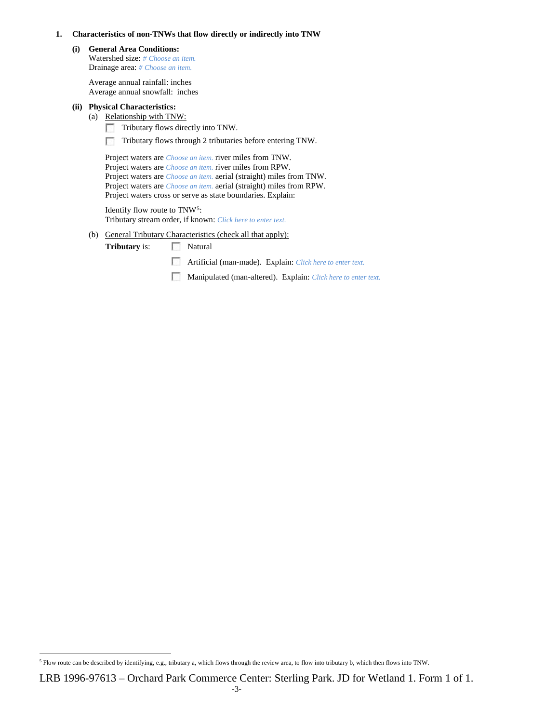#### **1. Characteristics of non-TNWs that flow directly or indirectly into TNW**

**(i) General Area Conditions:** Watershed size: *# Choose an item.*

Drainage area: *# Choose an item.*

Average annual rainfall: inches Average annual snowfall: inches

# **(ii) Physical Characteristics:**

(a) Relationship with TNW:

- Tributary flows directly into TNW. F.
- Tributary flows through 2 tributaries before entering TNW.

Project waters are *Choose an item.* river miles from TNW. Project waters are *Choose an item.* river miles from RPW. Project waters are *Choose an item.* aerial (straight) miles from TNW. Project waters are *Choose an item.* aerial (straight) miles from RPW. Project waters cross or serve as state boundaries. Explain:

Identify flow route to TNW[5:](#page-2-0) Tributary stream order, if known: *Click here to enter text.*

(b) General Tributary Characteristics (check all that apply):

**Tributary is:** Natural

- Artificial (man-made). Explain: *Click here to enter text.*
- Manipulated (man-altered). Explain: *Click here to enter text.*

<span id="page-2-0"></span> <sup>5</sup> Flow route can be described by identifying, e.g., tributary a, which flows through the review area, to flow into tributary b, which then flows into TNW.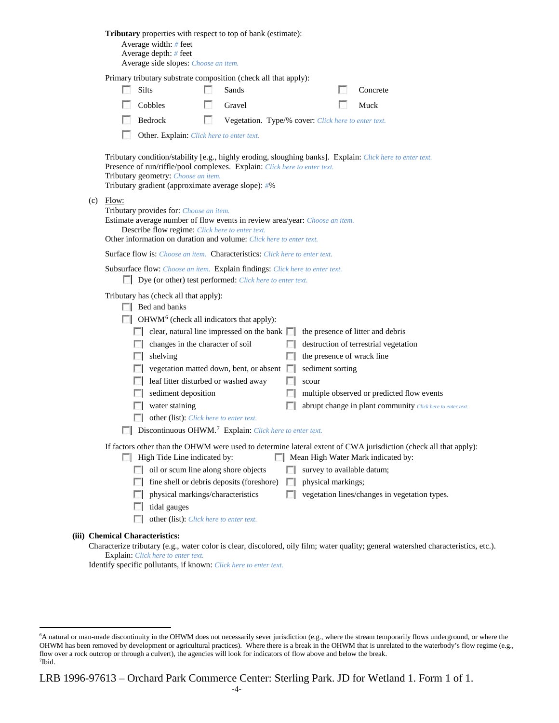| Tributary properties with respect to top of bank (estimate):<br>Average width: # feet<br>Average depth: $#$ feet<br>Average side slopes: Choose an item.                                                                                                                                                                                                                                                                                                                                                                                                                                                                        |  |  |  |  |  |
|---------------------------------------------------------------------------------------------------------------------------------------------------------------------------------------------------------------------------------------------------------------------------------------------------------------------------------------------------------------------------------------------------------------------------------------------------------------------------------------------------------------------------------------------------------------------------------------------------------------------------------|--|--|--|--|--|
| Primary tributary substrate composition (check all that apply):                                                                                                                                                                                                                                                                                                                                                                                                                                                                                                                                                                 |  |  |  |  |  |
| Silts<br>Concrete<br>Sands                                                                                                                                                                                                                                                                                                                                                                                                                                                                                                                                                                                                      |  |  |  |  |  |
| Cobbles<br>Muck<br>Gravel                                                                                                                                                                                                                                                                                                                                                                                                                                                                                                                                                                                                       |  |  |  |  |  |
| Bedrock<br>Vegetation. Type/% cover: Click here to enter text.                                                                                                                                                                                                                                                                                                                                                                                                                                                                                                                                                                  |  |  |  |  |  |
| Other. Explain: Click here to enter text.                                                                                                                                                                                                                                                                                                                                                                                                                                                                                                                                                                                       |  |  |  |  |  |
| Tributary condition/stability [e.g., highly eroding, sloughing banks]. Explain: Click here to enter text.<br>Presence of run/riffle/pool complexes. Explain: Click here to enter text.<br>Tributary geometry: Choose an item.<br>Tributary gradient (approximate average slope): #%                                                                                                                                                                                                                                                                                                                                             |  |  |  |  |  |
| $(c)$ Flow:<br>Tributary provides for: Choose an item.<br>Estimate average number of flow events in review area/year: Choose an item.<br>Describe flow regime: Click here to enter text.<br>Other information on duration and volume: Click here to enter text.                                                                                                                                                                                                                                                                                                                                                                 |  |  |  |  |  |
| Surface flow is: Choose an item. Characteristics: Click here to enter text.                                                                                                                                                                                                                                                                                                                                                                                                                                                                                                                                                     |  |  |  |  |  |
| Subsurface flow: Choose an item. Explain findings: Click here to enter text.<br>Dye (or other) test performed: Click here to enter text.                                                                                                                                                                                                                                                                                                                                                                                                                                                                                        |  |  |  |  |  |
| Tributary has (check all that apply):<br>$\Box$ Bed and banks<br>$\Box$ OHWM <sup>6</sup> (check all indicators that apply):<br>$\Box$ clear, natural line impressed on the bank $\Box$<br>the presence of litter and debris<br>changes in the character of soil<br>destruction of terrestrial vegetation<br>shelving<br>the presence of wrack line<br>sediment sorting<br>vegetation matted down, bent, or absent $\Box$<br>leaf litter disturbed or washed away<br>scour<br>sediment deposition<br>multiple observed or predicted flow events<br>water staining<br>abrupt change in plant community Click here to enter text. |  |  |  |  |  |
| other (list): Click here to enter text.<br>Discontinuous OHWM. <sup>7</sup> Explain: Click here to enter text.                                                                                                                                                                                                                                                                                                                                                                                                                                                                                                                  |  |  |  |  |  |
| If factors other than the OHWM were used to determine lateral extent of CWA jurisdiction (check all that apply):<br>$\Box$ High Tide Line indicated by:<br>Mean High Water Mark indicated by:<br>oil or scum line along shore objects<br>survey to available datum;<br>fine shell or debris deposits (foreshore)<br>physical markings;<br>FЛ                                                                                                                                                                                                                                                                                    |  |  |  |  |  |
| physical markings/characteristics<br>vegetation lines/changes in vegetation types.<br>п<br>tidal gauges<br>other (list): Click here to enter text.                                                                                                                                                                                                                                                                                                                                                                                                                                                                              |  |  |  |  |  |
| (iii) Chemical Characteristics:                                                                                                                                                                                                                                                                                                                                                                                                                                                                                                                                                                                                 |  |  |  |  |  |
| Characterize tributary (e.g., water color is clear, discolored, oily film; water quality; general watershed characteristics, etc.).<br>Explain: Click here to enter text.                                                                                                                                                                                                                                                                                                                                                                                                                                                       |  |  |  |  |  |

Identify specific pollutants, if known: *Click here to enter text.*

<span id="page-3-1"></span>LRB 1996-97613 – Orchard Park Commerce Center: Sterling Park. JD for Wetland 1. Form 1 of 1.

<span id="page-3-0"></span> <sup>6</sup> <sup>6</sup>A natural or man-made discontinuity in the OHWM does not necessarily sever jurisdiction (e.g., where the stream temporarily flows underground, or where the OHWM has been removed by development or agricultural practices). Where there is a break in the OHWM that is unrelated to the waterbody's flow regime (e.g., flow over a rock outcrop or through a culvert), the agencies will look for indicators of flow above and below the break. 7 Ibid.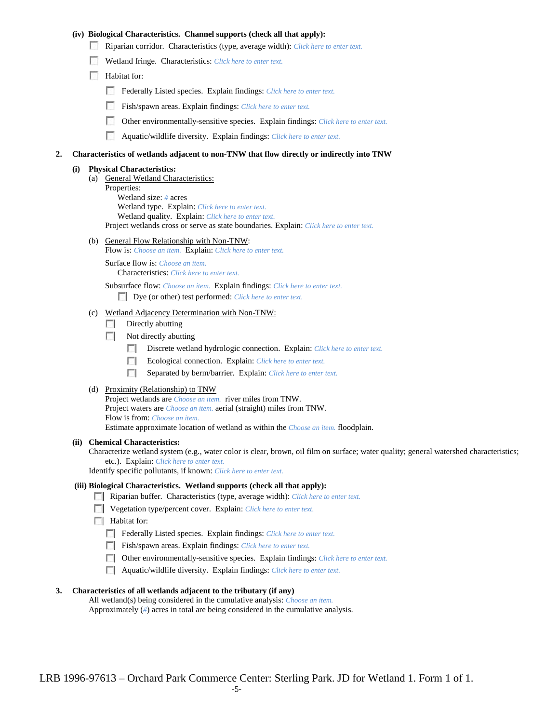## **(iv) Biological Characteristics. Channel supports (check all that apply):**

- Riparian corridor. Characteristics (type, average width): *Click here to enter text.*
- Wetland fringe. Characteristics: *Click here to enter text.*
- Habitat for:
	- Federally Listed species. Explain findings: *Click here to enter text.*
	- Fish/spawn areas. Explain findings: *Click here to enter text.*
	- Other environmentally-sensitive species. Explain findings: *Click here to enter text.*
	- Aquatic/wildlife diversity. Explain findings: *Click here to enter text.*

#### **2. Characteristics of wetlands adjacent to non-TNW that flow directly or indirectly into TNW**

#### **(i) Physical Characteristics:**

- (a) General Wetland Characteristics:
	- Properties:

Wetland size: *#* acres Wetland type. Explain: *Click here to enter text.*

Wetland quality. Explain: *Click here to enter text.*

Project wetlands cross or serve as state boundaries. Explain: *Click here to enter text.*

(b) General Flow Relationship with Non-TNW: Flow is: *Choose an item.* Explain: *Click here to enter text.*

Surface flow is: *Choose an item.* Characteristics: *Click here to enter text.*

Subsurface flow: *Choose an item.* Explain findings: *Click here to enter text.*

Dye (or other) test performed: *Click here to enter text.*

#### (c) Wetland Adjacency Determination with Non-TNW:

- $\Box$  Directly abutting
- Not directly abutting
	- Discrete wetland hydrologic connection. Explain: *Click here to enter text.*
	- Ecological connection. Explain: *Click here to enter text.*  $\sim$
	- $\sim$ Separated by berm/barrier. Explain: *Click here to enter text.*
- (d) Proximity (Relationship) to TNW

Project wetlands are *Choose an item.* river miles from TNW. Project waters are *Choose an item.* aerial (straight) miles from TNW. Flow is from: *Choose an item.* Estimate approximate location of wetland as within the *Choose an item.* floodplain.

#### **(ii) Chemical Characteristics:**

Characterize wetland system (e.g., water color is clear, brown, oil film on surface; water quality; general watershed characteristics; etc.). Explain: *Click here to enter text.*

Identify specific pollutants, if known: *Click here to enter text.*

## **(iii) Biological Characteristics. Wetland supports (check all that apply):**

- Riparian buffer. Characteristics (type, average width): *Click here to enter text.*
- Vegetation type/percent cover. Explain: *Click here to enter text.*
- $\Box$  Habitat for:
	- Federally Listed species. Explain findings: *Click here to enter text*.
	- Fish/spawn areas. Explain findings: *Click here to enter text.*
	- Other environmentally-sensitive species. Explain findings: *Click here to enter text.*
	- Aquatic/wildlife diversity. Explain findings: *Click here to enter text.*

#### **3. Characteristics of all wetlands adjacent to the tributary (if any)**

All wetland(s) being considered in the cumulative analysis: *Choose an item.* Approximately (*#*) acres in total are being considered in the cumulative analysis.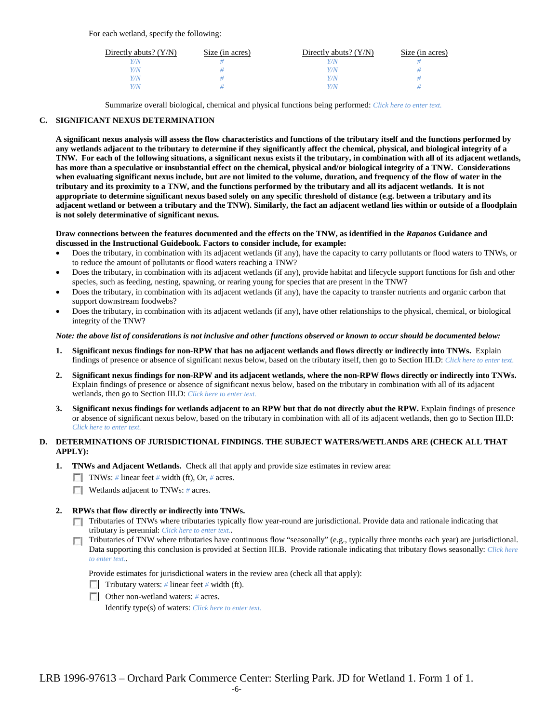For each wetland, specify the following:

| Directly abuts? $(Y/N)$ | Size (in acres) | Directly abuts? $(Y/N)$ | Size (in acres) |
|-------------------------|-----------------|-------------------------|-----------------|
|                         |                 |                         |                 |
| V/N                     |                 | Y/N                     |                 |
| V/N                     |                 | Y/N                     |                 |
|                         |                 | 77N                     |                 |

Summarize overall biological, chemical and physical functions being performed: *Click here to enter text.*

## **C. SIGNIFICANT NEXUS DETERMINATION**

**A significant nexus analysis will assess the flow characteristics and functions of the tributary itself and the functions performed by any wetlands adjacent to the tributary to determine if they significantly affect the chemical, physical, and biological integrity of a TNW. For each of the following situations, a significant nexus exists if the tributary, in combination with all of its adjacent wetlands, has more than a speculative or insubstantial effect on the chemical, physical and/or biological integrity of a TNW. Considerations when evaluating significant nexus include, but are not limited to the volume, duration, and frequency of the flow of water in the tributary and its proximity to a TNW, and the functions performed by the tributary and all its adjacent wetlands. It is not appropriate to determine significant nexus based solely on any specific threshold of distance (e.g. between a tributary and its adjacent wetland or between a tributary and the TNW). Similarly, the fact an adjacent wetland lies within or outside of a floodplain is not solely determinative of significant nexus.** 

#### **Draw connections between the features documented and the effects on the TNW, as identified in the** *Rapanos* **Guidance and discussed in the Instructional Guidebook. Factors to consider include, for example:**

- Does the tributary, in combination with its adjacent wetlands (if any), have the capacity to carry pollutants or flood waters to TNWs, or to reduce the amount of pollutants or flood waters reaching a TNW?
- Does the tributary, in combination with its adjacent wetlands (if any), provide habitat and lifecycle support functions for fish and other species, such as feeding, nesting, spawning, or rearing young for species that are present in the TNW?
- Does the tributary, in combination with its adjacent wetlands (if any), have the capacity to transfer nutrients and organic carbon that support downstream foodwebs?
- Does the tributary, in combination with its adjacent wetlands (if any), have other relationships to the physical, chemical, or biological integrity of the TNW?

#### *Note: the above list of considerations is not inclusive and other functions observed or known to occur should be documented below:*

- **1. Significant nexus findings for non-RPW that has no adjacent wetlands and flows directly or indirectly into TNWs.** Explain findings of presence or absence of significant nexus below, based on the tributary itself, then go to Section III.D: *Click here to enter text.*
- **2. Significant nexus findings for non-RPW and its adjacent wetlands, where the non-RPW flows directly or indirectly into TNWs.**  Explain findings of presence or absence of significant nexus below, based on the tributary in combination with all of its adjacent wetlands, then go to Section III.D: *Click here to enter text.*
- **3. Significant nexus findings for wetlands adjacent to an RPW but that do not directly abut the RPW.** Explain findings of presence or absence of significant nexus below, based on the tributary in combination with all of its adjacent wetlands, then go to Section III.D: *Click here to enter text.*

# **D. DETERMINATIONS OF JURISDICTIONAL FINDINGS. THE SUBJECT WATERS/WETLANDS ARE (CHECK ALL THAT APPLY):**

- **1. TNWs and Adjacent Wetlands.** Check all that apply and provide size estimates in review area:
	- TNWs: *#* linear feet *#* width (ft), Or, *#* acres.
	- **Wetlands adjacent to TNWs: # acres.**

## **2. RPWs that flow directly or indirectly into TNWs.**

- Tributaries of TNWs where tributaries typically flow year-round are jurisdictional. Provide data and rationale indicating that tributary is perennial: *Click here to enter text.*.
- Tributaries of TNW where tributaries have continuous flow "seasonally" (e.g., typically three months each year) are jurisdictional.  $\mathcal{L}$ Data supporting this conclusion is provided at Section III.B. Provide rationale indicating that tributary flows seasonally: *Click here to enter text.*.

Provide estimates for jurisdictional waters in the review area (check all that apply):

- Tributary waters: # linear feet # width (ft).
- Other non-wetland waters: *#* acres.

Identify type(s) of waters: *Click here to enter text.*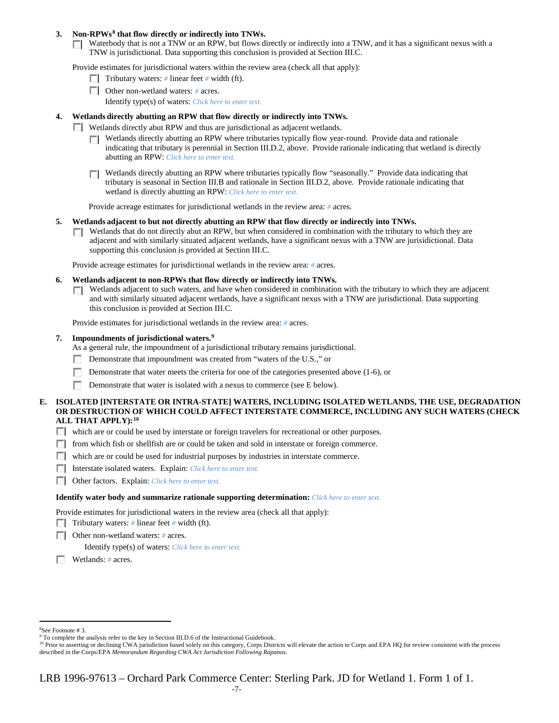## **3. Non-RPWs[8](#page-6-0) that flow directly or indirectly into TNWs.**

Waterbody that is not a TNW or an RPW, but flows directly or indirectly into a TNW, and it has a significant nexus with a TNW is jurisdictional. Data supporting this conclusion is provided at Section III.C.

Provide estimates for jurisdictional waters within the review area (check all that apply):

- **Tributary waters:** # linear feet # width (ft).
- Other non-wetland waters: # acres. Identify type(s) of waters: *Click here to enter text.*
- **4. Wetlands directly abutting an RPW that flow directly or indirectly into TNWs.**
	- **Wetlands directly abut RPW and thus are jurisdictional as adjacent wetlands.** 
		- $\Box$  Wetlands directly abutting an RPW where tributaries typically flow year-round. Provide data and rationale indicating that tributary is perennial in Section III.D.2, above. Provide rationale indicating that wetland is directly abutting an RPW: *Click here to enter text.*
		- Wetlands directly abutting an RPW where tributaries typically flow "seasonally." Provide data indicating that tributary is seasonal in Section III.B and rationale in Section III.D.2, above. Provide rationale indicating that wetland is directly abutting an RPW: *Click here to enter text.*

Provide acreage estimates for jurisdictional wetlands in the review area: *#* acres.

- **5. Wetlands adjacent to but not directly abutting an RPW that flow directly or indirectly into TNWs.**
	- $\Box$  Wetlands that do not directly abut an RPW, but when considered in combination with the tributary to which they are adjacent and with similarly situated adjacent wetlands, have a significant nexus with a TNW are jurisidictional. Data supporting this conclusion is provided at Section III.C.

Provide acreage estimates for jurisdictional wetlands in the review area: *#* acres.

- **6. Wetlands adjacent to non-RPWs that flow directly or indirectly into TNWs.** 
	- **T** Wetlands adjacent to such waters, and have when considered in combination with the tributary to which they are adjacent and with similarly situated adjacent wetlands, have a significant nexus with a TNW are jurisdictional. Data supporting this conclusion is provided at Section III.C.

Provide estimates for jurisdictional wetlands in the review area: *#* acres.

## **7. Impoundments of jurisdictional waters. [9](#page-6-1)**

As a general rule, the impoundment of a jurisdictional tributary remains jurisdictional.

- Demonstrate that impoundment was created from "waters of the U.S.," or
- Demonstrate that water meets the criteria for one of the categories presented above (1-6), or
- п Demonstrate that water is isolated with a nexus to commerce (see E below).
- **E. ISOLATED [INTERSTATE OR INTRA-STATE] WATERS, INCLUDING ISOLATED WETLANDS, THE USE, DEGRADATION OR DESTRUCTION OF WHICH COULD AFFECT INTERSTATE COMMERCE, INCLUDING ANY SUCH WATERS (CHECK ALL THAT APPLY):[10](#page-6-2)**
	- which are or could be used by interstate or foreign travelers for recreational or other purposes.
	- from which fish or shellfish are or could be taken and sold in interstate or foreign commerce.
	- which are or could be used for industrial purposes by industries in interstate commerce.
	- Interstate isolated waters.Explain: *Click here to enter text.*
	- Other factors.Explain: *Click here to enter text.*

#### **Identify water body and summarize rationale supporting determination:** *Click here to enter text.*

Provide estimates for jurisdictional waters in the review area (check all that apply):

- Tributary waters: # linear feet # width (ft).
- Other non-wetland waters: *#* acres.

Identify type(s) of waters: *Click here to enter text.*

- Wetlands: *#* acres.
- $\frac{1}{8}$

<span id="page-6-1"></span><span id="page-6-0"></span><sup>&</sup>lt;sup>8</sup>See Footnote # 3.<br><sup>9</sup> To complete the analysis refer to the key in Section III.D.6 of the Instructional Guidebook.

<span id="page-6-2"></span><sup>&</sup>lt;sup>10</sup> Prior to asserting or declining CWA jurisdiction based solely on this category, Corps Districts will elevate the action to Corps and EPA HQ for review consistent with the process described in the Corps/EPA *Memorandum Regarding CWA Act Jurisdiction Following Rapanos.*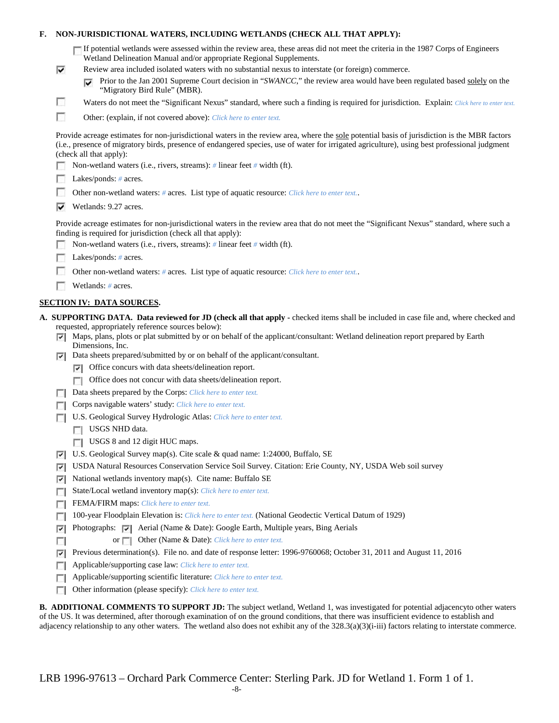## **F. NON-JURISDICTIONAL WATERS, INCLUDING WETLANDS (CHECK ALL THAT APPLY):**

| If potential wetlands were assessed within the review area, these areas did not meet the criteria in the 1987 Corps of Engineers |
|----------------------------------------------------------------------------------------------------------------------------------|
| Wetland Delineation Manual and/or appropriate Regional Supplements.                                                              |

- Review area included isolated waters with no substantial nexus to interstate (or foreign) commerce.
	- **Prior to the Jan 2001 Supreme Court decision in "***SWANCC*," the review area would have been regulated based solely on the "Migratory Bird Rule" (MBR).
- Waters do not meet the "Significant Nexus" standard, where such a finding is required for jurisdiction. Explain: Click here to enter text.
- F Other: (explain, if not covered above): *Click here to enter text.*

Provide acreage estimates for non-jurisdictional waters in the review area, where the sole potential basis of jurisdiction is the MBR factors (i.e., presence of migratory birds, presence of endangered species, use of water for irrigated agriculture), using best professional judgment (check all that apply):

Non-wetland waters (i.e., rivers, streams): *#* linear feet *#* width (ft).

Lakes/ponds: # acres.

⊽

п

- m. Other non-wetland waters: *#* acres. List type of aquatic resource: *Click here to enter text.*.
- Wetlands: 9.27 acres.

Provide acreage estimates for non-jurisdictional waters in the review area that do not meet the "Significant Nexus" standard, where such a finding is required for jurisdiction (check all that apply):

- Non-wetland waters (i.e., rivers, streams): *#* linear feet *#* width (ft).
- Lakes/ponds: *#* acres.
- $\mathcal{L}$ Other non-wetland waters: *#* acres. List type of aquatic resource: *Click here to enter text.*.
- Wetlands: # acres.

## **SECTION IV: DATA SOURCES.**

- **A. SUPPORTING DATA. Data reviewed for JD (check all that apply -** checked items shall be included in case file and, where checked and requested, appropriately reference sources below):
	- $\nabla$  Maps, plans, plots or plat submitted by or on behalf of the applicant/consultant: Wetland delineation report prepared by Earth Dimensions, Inc.
	- Data sheets prepared/submitted by or on behalf of the applicant/consultant.
		- $\nabla$  Office concurs with data sheets/delineation report.
		- **T** Office does not concur with data sheets/delineation report.
	- Data sheets prepared by the Corps: *Click here to enter text.*
	- Corps navigable waters' study: *Click here to enter text.*
	- U.S. Geological Survey Hydrologic Atlas: *Click here to enter text.*
		- **USGS NHD** data.
		- USGS 8 and 12 digit HUC maps.
	- U.S. Geological Survey map(s). Cite scale & quad name: 1:24000, Buffalo, SE
	- USDA Natural Resources Conservation Service Soil Survey. Citation: Erie County, NY, USDA Web soil survey
	- $\triangledown$  National wetlands inventory map(s). Cite name: Buffalo SE
	- State/Local wetland inventory map(s): *Click here to enter text.*
	- FFEMA/FIRM maps: *Click here to enter text.*
	- 100-year Floodplain Elevation is: *Click here to enter text.* (National Geodectic Vertical Datum of 1929)
	- **Photographs:**  $\triangledown$  Aerial (Name & Date): Google Earth, Multiple years, Bing Aerials
	- or **Other (Name & Date):** *Click here to enter text.*  $\sim$
	- Previous determination(s). File no. and date of response letter: 1996-9760068; October 31, 2011 and August 11, 2016
	- Applicable/supporting case law: *Click here to enter text.*
	- Applicable/supporting scientific literature: *Click here to enter text.*
	- Other information (please specify): *Click here to enter text.*

**B. ADDITIONAL COMMENTS TO SUPPORT JD:** The subject wetland, Wetland 1, was investigated for potential adjacencyto other waters of the US. It was determined, after thorough examination of on the ground conditions, that there was insufficient evidence to establish and adjacency relationship to any other waters. The wetland also does not exhibit any of the 328.3(a)(3)(i-iii) factors relating to interstate commerce.